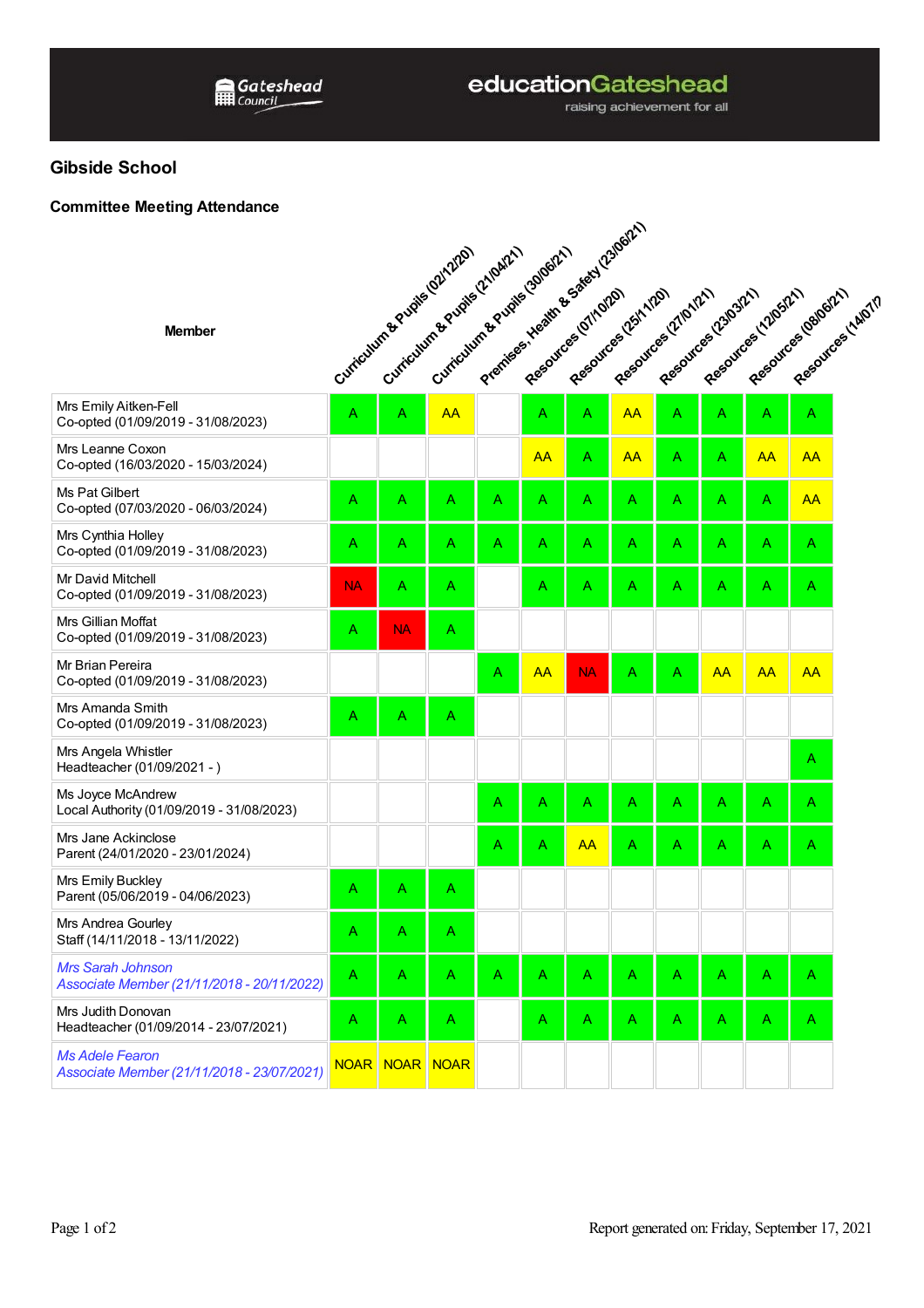## educationGateshead

raising achievement for all

## **Gibside School**

## **Committee Meeting Attendance**

|                                                                        | Premises Health & Sales (2306/21)<br>Curriculum of Published Published Solidary |           |                |   |           |           |                                             |   |                                              |           |                      |                    |
|------------------------------------------------------------------------|---------------------------------------------------------------------------------|-----------|----------------|---|-----------|-----------|---------------------------------------------|---|----------------------------------------------|-----------|----------------------|--------------------|
| <b>Member</b>                                                          |                                                                                 |           |                |   |           |           | Resources (25th/20)<br>Resources (2/10/12/1 |   | Resources (23/03/21)<br>Resources (12/05/21) |           | Resources (gelpoize) | Resources (14/07/7 |
| Mrs Emily Aitken-Fell<br>Co-opted (01/09/2019 - 31/08/2023)            |                                                                                 |           |                |   |           | Α         | <b>AA</b>                                   | Α | Α                                            | Α         | A                    |                    |
| Mrs Leanne Coxon<br>Co-opted (16/03/2020 - 15/03/2024)                 |                                                                                 |           |                |   | AA        | A         | <b>AA</b>                                   | Α | Α                                            | <b>AA</b> | AA                   |                    |
| Ms Pat Gilbert<br>Co-opted (07/03/2020 - 06/03/2024)                   | A                                                                               | Α         | Α              | Α | Α         | Α         | A                                           | A | Α                                            | A         | <b>AA</b>            |                    |
| Mrs Cynthia Holley<br>Co-opted (01/09/2019 - 31/08/2023)               | Α                                                                               | A         | Α              | Α | Α         | Α         | Α                                           | Α | Α                                            | Α         | Α                    |                    |
| Mr David Mitchell<br>Co-opted (01/09/2019 - 31/08/2023)                | <b>NA</b>                                                                       | A         | Α              |   | Α         | Α         | Α                                           | Α | Α                                            | Α         | Α                    |                    |
| Mrs Gillian Moffat<br>Co-opted (01/09/2019 - 31/08/2023)               | A                                                                               | <b>NA</b> | Α              |   |           |           |                                             |   |                                              |           |                      |                    |
| Mr Brian Pereira<br>Co-opted (01/09/2019 - 31/08/2023)                 |                                                                                 |           |                | Α | <b>AA</b> | <b>NA</b> | Α                                           | Α | <b>AA</b>                                    | <b>AA</b> | <b>AA</b>            |                    |
| Mrs Amanda Smith<br>Co-opted (01/09/2019 - 31/08/2023)                 | Α                                                                               | Α         | Α              |   |           |           |                                             |   |                                              |           |                      |                    |
| Mrs Angela Whistler<br>Headteacher (01/09/2021 - )                     |                                                                                 |           |                |   |           |           |                                             |   |                                              |           | A                    |                    |
| Ms Joyce McAndrew<br>Local Authority (01/09/2019 - 31/08/2023)         |                                                                                 |           |                | Α | Α         | Α         | Α                                           | Α | Α                                            | Α         | Α                    |                    |
| Mrs Jane Ackinclose<br>Parent (24/01/2020 - 23/01/2024)                |                                                                                 |           |                | A | A         | <b>AA</b> | Α                                           | Α | Α                                            | Α         | Α                    |                    |
| Mrs Emily Buckley<br>Parent (05/06/2019 - 04/06/2023)                  | Α                                                                               | Α         | $\overline{A}$ |   |           |           |                                             |   |                                              |           |                      |                    |
| Mrs Andrea Gourley<br>Staff (14/11/2018 - 13/11/2022)                  | Α                                                                               | Α         | Α              |   |           |           |                                             |   |                                              |           |                      |                    |
| <b>Mrs Sarah Johnson</b><br>Associate Member (21/11/2018 - 20/11/2022) | A                                                                               | A         | A              | Α | A         | Α         | A                                           | A | Α                                            | Α         | A                    |                    |
| Mrs Judith Donovan<br>Headteacher (01/09/2014 - 23/07/2021)            | A                                                                               | A         | A              |   | Α         | A         | A                                           | A | Α                                            | Α         | A                    |                    |
| <b>Ms Adele Fearon</b><br>Associate Member (21/11/2018 - 23/07/2021)   | <b>NOAR</b>                                                                     |           | NOAR NOAR      |   |           |           |                                             |   |                                              |           |                      |                    |